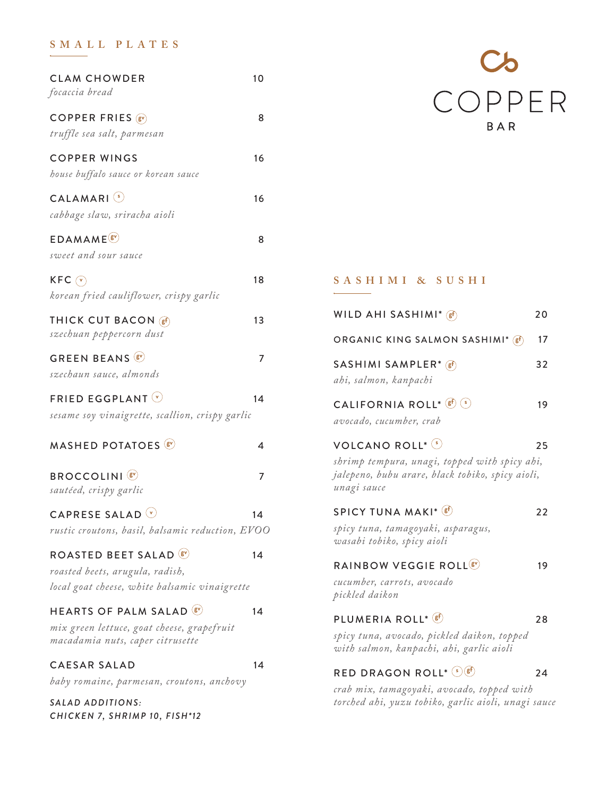# **SMALL PLATES**

| <b>CLAM CHOWDER</b><br>focaccia bread                                                                               | 10 |
|---------------------------------------------------------------------------------------------------------------------|----|
| COPPER FRIES (SV)<br>truffle sea salt, parmesan                                                                     | 8  |
| <b>COPPER WINGS</b><br>house buffalo sauce or korean sauce                                                          | 16 |
| CALAMARI <sup>(s)</sup><br>cabbage slaw, sriracha aioli                                                             | 16 |
| <b>EDAMAME</b> <sup><sup><sup>8</sup></sup></sup><br>sweet and sour sauce                                           | 8  |
| $KFC(\overline{v})$<br>korean fried cauliflower, crispy garlic                                                      | 18 |
| THICK CUT BACON (sf)<br>szechuan peppercorn dust                                                                    | 13 |
| <b>GREEN BEANS &amp;</b><br>szechaun sauce, almonds                                                                 | 7  |
| <b>FRIED EGGPLANT</b> $\heartsuit$<br>sesame soy vinaigrette, scallion, crispy garlic                               | 14 |
| <b>MASHED POTATOES</b>                                                                                              | 4  |
| <b>BROCCOLINI</b> <sup>(8)</sup><br>sautéed, crispy garlic                                                          | 7  |
| CAPRESE SALAD $\circledcirc$<br>rustic croutons, basil, balsamic reduction, EVOO                                    | 14 |
| ROASTED BEET SALAD <sup>®</sup><br>roasted beets, arugula, radish,<br>local goat cheese, white balsamic vinaigrette | 14 |
| <b>HEARTS OF PALM SALAD &amp;</b><br>mix green lettuce, goat cheese, grapefruit<br>macadamia nuts, caper citrusette | 14 |
| <b>CAESAR SALAD</b><br>baby romaine, parmesan, croutons, anchovy                                                    | 14 |
| SALAD ADDITIONS:                                                                                                    |    |

*CHICKEN 7, SHRIMP 10, FISH\*12*



## **SASHIMI & SUSHI**

| WILD AHI SASHIMI* $(F)$                                                                                                               | 20 |
|---------------------------------------------------------------------------------------------------------------------------------------|----|
| ORGANIC KING SALMON SASHIMI* (ef)                                                                                                     | 17 |
| SASHIMI SAMPLER* (gf)<br>ahi, salmon, kanpachi                                                                                        | 32 |
| CALIFORNIA ROLL* (sf) (s)<br>avocado, cucumber, crab                                                                                  | 19 |
| VOLCANO ROLL* (5)<br>shrimp tempura, unagi, topped with spicy ahi,<br>jalepeno, bubu arare, black tobiko, spicy aioli,<br>unagi sauce | 25 |
| SPICY TUNA MAKI* (sf)<br>spicy tuna, tamagoyaki, asparagus,<br>wasabi tobiko, spicy aioli                                             | 22 |
| RAINBOW VEGGIE ROLL <sup>(8)</sup><br>cucumber, carrots, avocado<br>pickled daikon                                                    | 19 |
| PLUMERIA ROLL* (sf)<br>spicy tuna, avocado, pickled daikon, topped<br>with salmon, kanpachi, ahi, garlic aioli                        | 28 |
| RED DRAGON ROLL* $\mathcal{L}(\mathbf{g}^{\text{f}})$                                                                                 | 24 |

*crab mix, tamagoyaki, avocado, topped with torched ahi, yuzu tobiko, garlic aioli, unagi sauce*